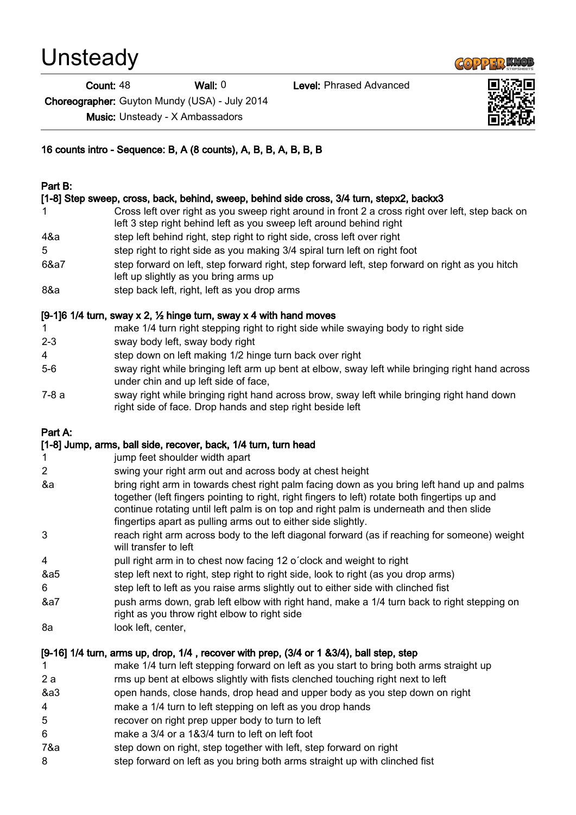**Unsteady** 

Count: 48 Wall: 0 Level: Phrased Advanced

Choreographer: Guyton Mundy (USA) - July 2014

Music: Unsteady - X Ambassadors

16 counts intro - Sequence: B, A (8 counts), A, B, B, A, B, B, B

#### Part B:

# [1-8] Step sweep, cross, back, behind, sweep, behind side cross, 3/4 turn, stepx2, backx3

- 1 Cross left over right as you sweep right around in front 2 a cross right over left, step back on left 3 step right behind left as you sweep left around behind right 4&a step left behind right, step right to right side, cross left over right
- 5 step right to right side as you making 3/4 spiral turn left on right foot
- 6&a7 step forward on left, step forward right, step forward left, step forward on right as you hitch left up slightly as you bring arms up
- 8&a step back left, right, left as you drop arms

# [9-1]6 1/4 turn, sway x 2,  $\frac{1}{2}$  hinge turn, sway x 4 with hand moves

- 1 make 1/4 turn right stepping right to right side while swaying body to right side
- 2-3 sway body left, sway body right
- 4 step down on left making 1/2 hinge turn back over right
- 5-6 sway right while bringing left arm up bent at elbow, sway left while bringing right hand across under chin and up left side of face,
- 7-8 a sway right while bringing right hand across brow, sway left while bringing right hand down right side of face. Drop hands and step right beside left

# Part A:

# [1-8] Jump, arms, ball side, recover, back, 1/4 turn, turn head

- 1 jump feet shoulder width apart
- 2 swing your right arm out and across body at chest height
- &a bring right arm in towards chest right palm facing down as you bring left hand up and palms together (left fingers pointing to right, right fingers to left) rotate both fingertips up and continue rotating until left palm is on top and right palm is underneath and then slide fingertips apart as pulling arms out to either side slightly.
- 3 reach right arm across body to the left diagonal forward (as if reaching for someone) weight will transfer to left
- 4 pull right arm in to chest now facing 12 o´clock and weight to right
- &a5 step left next to right, step right to right side, look to right (as you drop arms)
- 6 step left to left as you raise arms slightly out to either side with clinched fist
- &a7 push arms down, grab left elbow with right hand, make a 1/4 turn back to right stepping on right as you throw right elbow to right side
- 8a look left, center,

# [9-16] 1/4 turn, arms up, drop, 1/4 , recover with prep, (3/4 or 1 &3/4), ball step, step

- 1 make 1/4 turn left stepping forward on left as you start to bring both arms straight up
- 2 a rms up bent at elbows slightly with fists clenched touching right next to left
- &a3 open hands, close hands, drop head and upper body as you step down on right
- 4 make a 1/4 turn to left stepping on left as you drop hands
- 5 recover on right prep upper body to turn to left
- 6 make a 3/4 or a 1&3/4 turn to left on left foot
- 7&a step down on right, step together with left, step forward on right
- 8 step forward on left as you bring both arms straight up with clinched fist